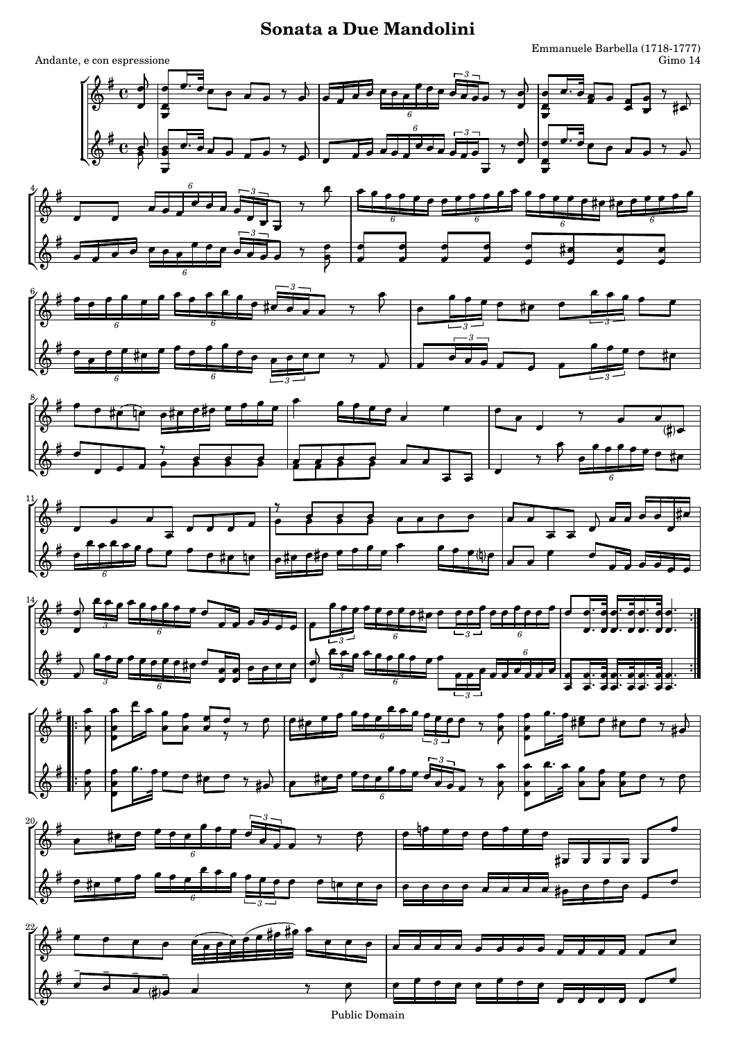## **Sonata a Due Mandolini**

Emmanuele Barbella (1718-1777)

















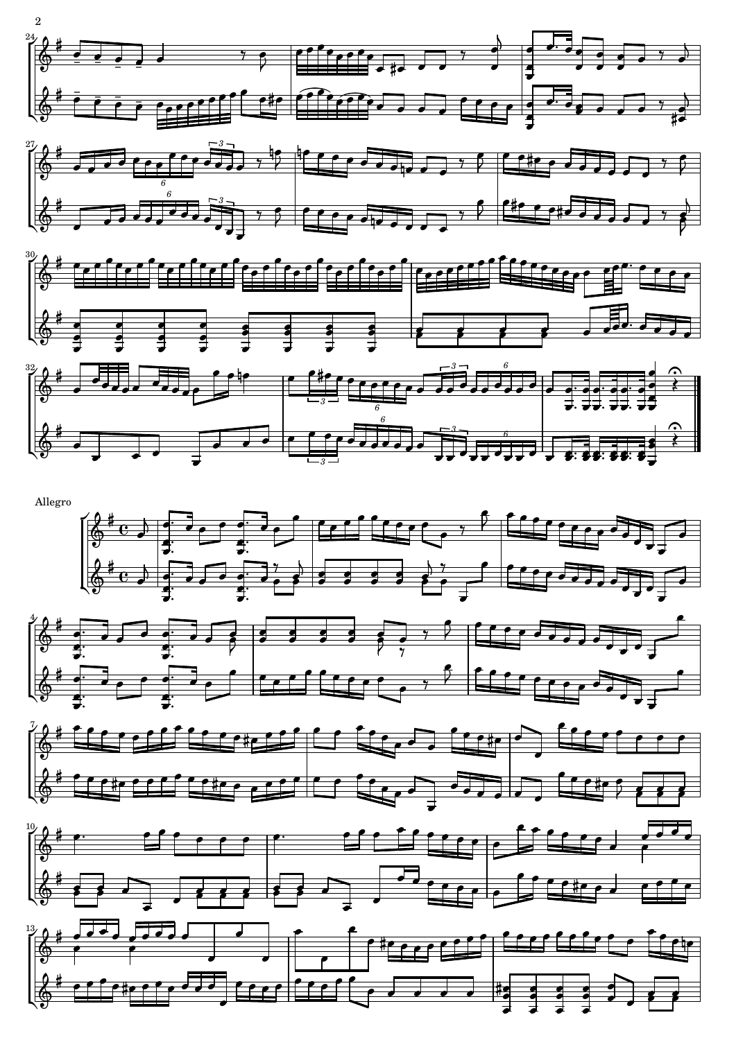







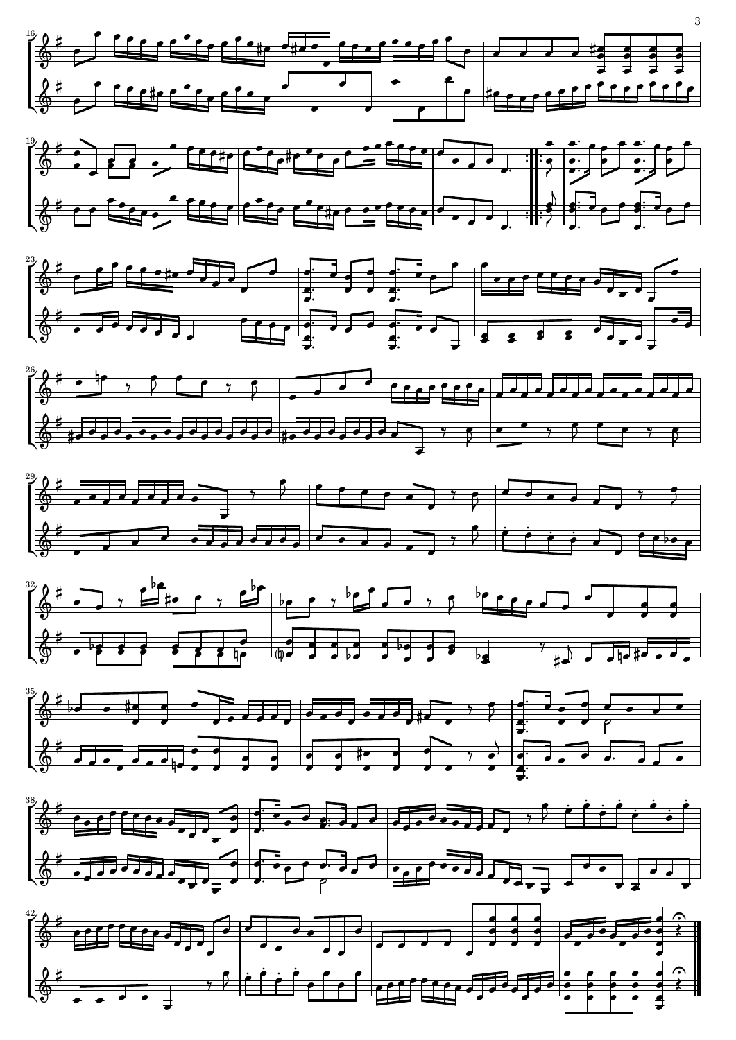















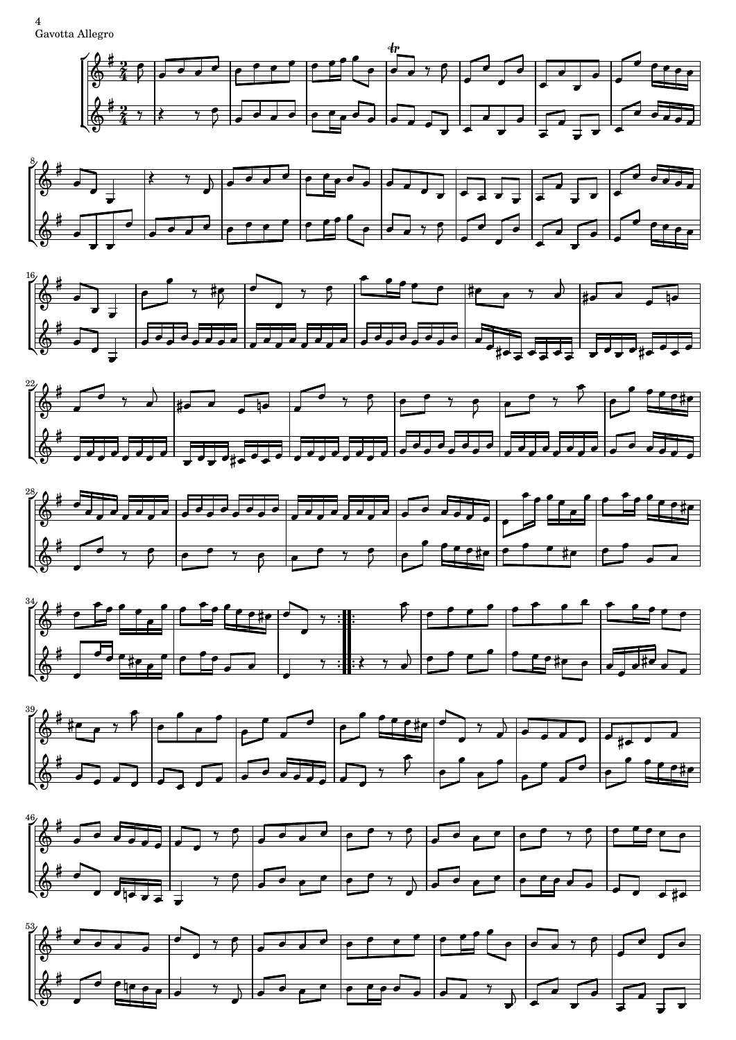4 Gavotta Allegro